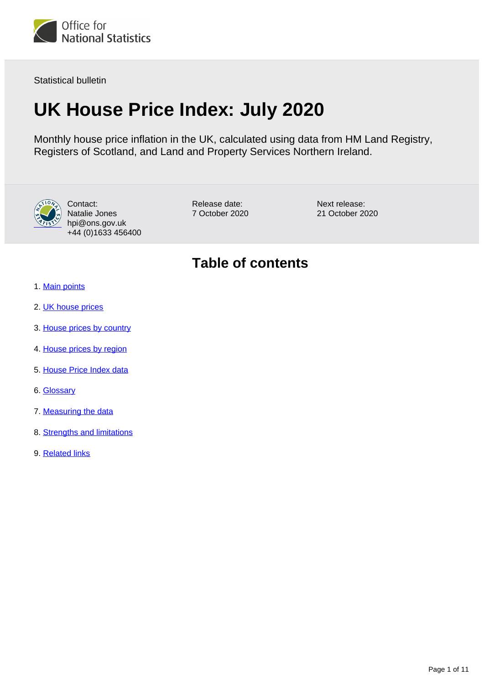

Statistical bulletin

# **UK House Price Index: July 2020**

Monthly house price inflation in the UK, calculated using data from HM Land Registry, Registers of Scotland, and Land and Property Services Northern Ireland.



Contact: Natalie Jones hpi@ons.gov.uk +44 (0)1633 456400

Release date: 7 October 2020 Next release: 21 October 2020

## **Table of contents**

- 1. [Main points](#page-1-0)
- 2. [UK house prices](#page-1-1)
- 3. [House prices by country](#page-4-0)
- 4. [House prices by region](#page-5-0)
- 5. [House Price Index data](#page-7-0)
- 6. [Glossary](#page-7-1)
- 7. [Measuring the data](#page-8-0)
- 8. [Strengths and limitations](#page-9-0)
- 9. [Related links](#page-10-0)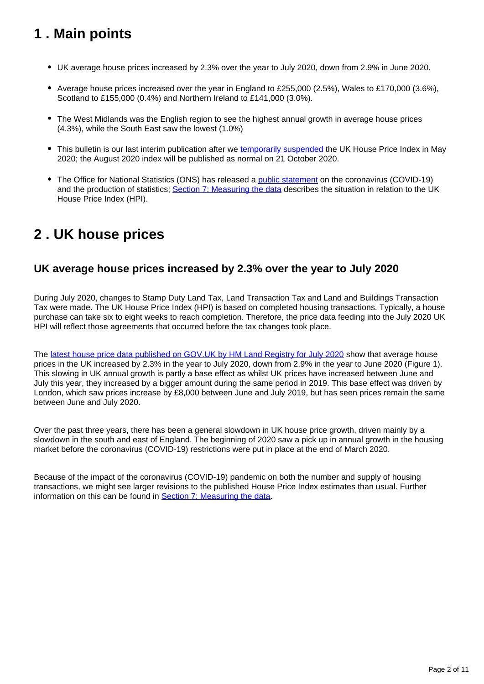## <span id="page-1-0"></span>**1 . Main points**

- UK average house prices increased by 2.3% over the year to July 2020, down from 2.9% in June 2020.
- Average house prices increased over the year in England to £255,000 (2.5%), Wales to £170,000 (3.6%), Scotland to £155,000 (0.4%) and Northern Ireland to £141,000 (3.0%).
- The West Midlands was the English region to see the highest annual growth in average house prices (4.3%), while the South East saw the lowest (1.0%)
- This bulletin is our last interim publication after we [temporarily suspended](https://www.ons.gov.uk/releases/ukhousepriceindexmay2020) the UK House Price Index in May 2020; the August 2020 index will be published as normal on 21 October 2020.
- The Office for National Statistics (ONS) has released a [public statement](https://www.ons.gov.uk/news/statementsandletters/covid19andtheproductionofstatistics) on the coronavirus (COVID-19) and the production of statistics; [Section 7: Measuring the data](https://www.ons.gov.uk/economy/inflationandpriceindices/bulletins/housepriceindex/july2020#measuring-the-data) describes the situation in relation to the UK House Price Index (HPI).

## <span id="page-1-1"></span>**2 . UK house prices**

### **UK average house prices increased by 2.3% over the year to July 2020**

During July 2020, changes to Stamp Duty Land Tax, Land Transaction Tax and Land and Buildings Transaction Tax were made. The UK House Price Index (HPI) is based on completed housing transactions. Typically, a house purchase can take six to eight weeks to reach completion. Therefore, the price data feeding into the July 2020 UK HPI will reflect those agreements that occurred before the tax changes took place.

The [latest house price data published on GOV.UK by HM Land Registry for July 2020](https://www.gov.uk/government/collections/uk-house-price-index-reports) show that average house prices in the UK increased by 2.3% in the year to July 2020, down from 2.9% in the year to June 2020 (Figure 1). This slowing in UK annual growth is partly a base effect as whilst UK prices have increased between June and July this year, they increased by a bigger amount during the same period in 2019. This base effect was driven by London, which saw prices increase by £8,000 between June and July 2019, but has seen prices remain the same between June and July 2020.

Over the past three years, there has been a general slowdown in UK house price growth, driven mainly by a slowdown in the south and east of England. The beginning of 2020 saw a pick up in annual growth in the housing market before the coronavirus (COVID-19) restrictions were put in place at the end of March 2020.

Because of the impact of the coronavirus (COVID-19) pandemic on both the number and supply of housing transactions, we might see larger revisions to the published House Price Index estimates than usual. Further information on this can be found in [Section 7: Measuring the data.](https://www.ons.gov.uk/economy/inflationandpriceindices/bulletins/housepriceindex/july2020#measuring-the-data)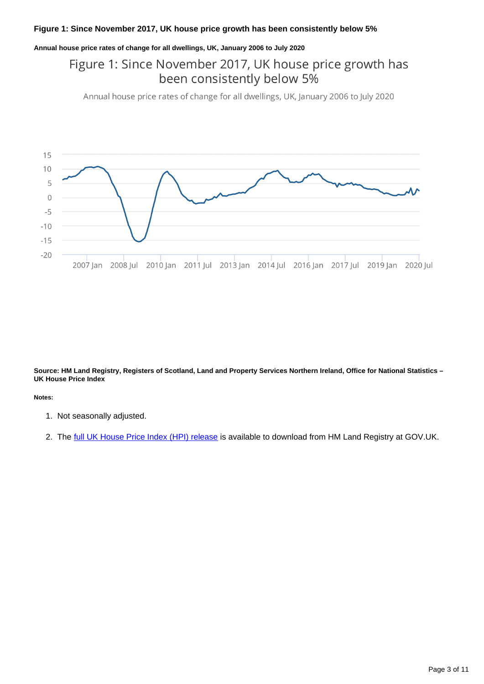#### **Figure 1: Since November 2017, UK house price growth has been consistently below 5%**

#### **Annual house price rates of change for all dwellings, UK, January 2006 to July 2020**

## Figure 1: Since November 2017, UK house price growth has been consistently below 5%

Annual house price rates of change for all dwellings, UK, January 2006 to July 2020



**Source: HM Land Registry, Registers of Scotland, Land and Property Services Northern Ireland, Office for National Statistics – UK House Price Index**

#### **Notes:**

- 1. Not seasonally adjusted.
- 2. The <u>[full UK House Price Index \(HPI\) release](https://www.gov.uk/government/collections/uk-house-price-index-reports)</u> is available to download from HM Land Registry at GOV.UK.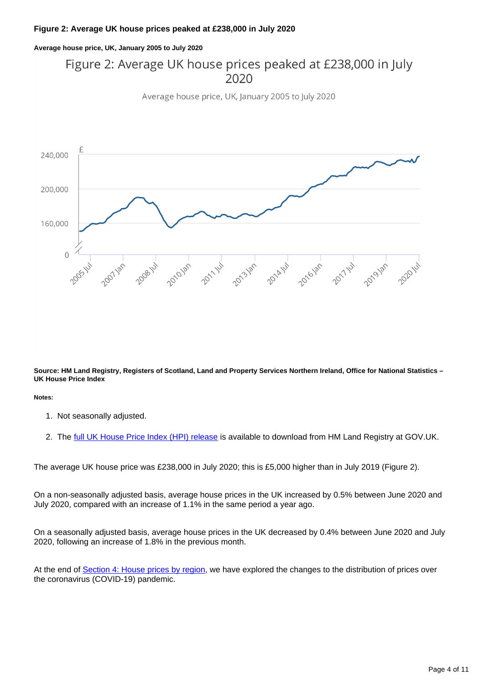#### **Figure 2: Average UK house prices peaked at £238,000 in July 2020**

**Average house price, UK, January 2005 to July 2020**

## Figure 2: Average UK house prices peaked at £238,000 in July  $2020$

Average house price, UK, January 2005 to July 2020



**Source: HM Land Registry, Registers of Scotland, Land and Property Services Northern Ireland, Office for National Statistics – UK House Price Index**

**Notes:**

- 1. Not seasonally adjusted.
- 2. The <u>[full UK House Price Index \(HPI\) release](https://www.gov.uk/government/collections/uk-house-price-index-reports)</u> is available to download from HM Land Registry at GOV.UK.

The average UK house price was £238,000 in July 2020; this is £5,000 higher than in July 2019 (Figure 2).

On a non-seasonally adjusted basis, average house prices in the UK increased by 0.5% between June 2020 and July 2020, compared with an increase of 1.1% in the same period a year ago.

On a seasonally adjusted basis, average house prices in the UK decreased by 0.4% between June 2020 and July 2020, following an increase of 1.8% in the previous month.

At the end of [Section 4: House prices by region](https://publishing.ons.gov.uk/economy/inflationandpriceindices/bulletins/housepriceindex/july2020#house-prices-by-region), we have explored the changes to the distribution of prices over the coronavirus (COVID-19) pandemic.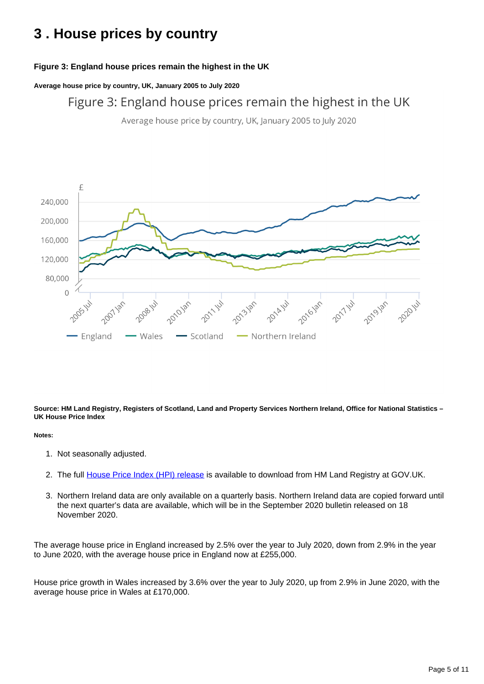## <span id="page-4-0"></span>**3 . House prices by country**

### **Figure 3: England house prices remain the highest in the UK**

**Average house price by country, UK, January 2005 to July 2020**

Figure 3: England house prices remain the highest in the UK

Average house price by country, UK, January 2005 to July 2020



**Source: HM Land Registry, Registers of Scotland, Land and Property Services Northern Ireland, Office for National Statistics – UK House Price Index**

#### **Notes:**

- 1. Not seasonally adjusted.
- 2. The full [House Price Index \(HPI\) release](https://www.gov.uk/government/collections/uk-house-price-index-reports) is available to download from HM Land Registry at GOV.UK.
- 3. Northern Ireland data are only available on a quarterly basis. Northern Ireland data are copied forward until the next quarter's data are available, which will be in the September 2020 bulletin released on 18 November 2020.

The average house price in England increased by 2.5% over the year to July 2020, down from 2.9% in the year to June 2020, with the average house price in England now at £255,000.

House price growth in Wales increased by 3.6% over the year to July 2020, up from 2.9% in June 2020, with the average house price in Wales at £170,000.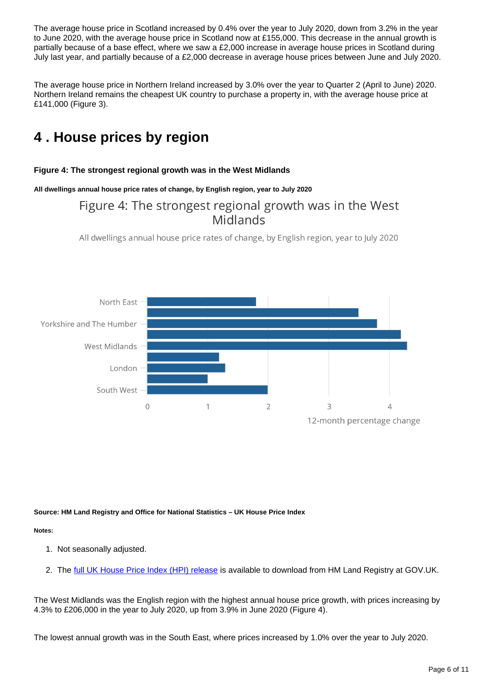The average house price in Scotland increased by 0.4% over the year to July 2020, down from 3.2% in the year to June 2020, with the average house price in Scotland now at £155,000. This decrease in the annual growth is partially because of a base effect, where we saw a £2,000 increase in average house prices in Scotland during July last year, and partially because of a £2,000 decrease in average house prices between June and July 2020.

The average house price in Northern Ireland increased by 3.0% over the year to Quarter 2 (April to June) 2020. Northern Ireland remains the cheapest UK country to purchase a property in, with the average house price at £141,000 (Figure 3).

## <span id="page-5-0"></span>**4 . House prices by region**

#### **Figure 4: The strongest regional growth was in the West Midlands**

**All dwellings annual house price rates of change, by English region, year to July 2020**

## Figure 4: The strongest regional growth was in the West Midlands

All dwellings annual house price rates of change, by English region, year to July 2020



#### **Source: HM Land Registry and Office for National Statistics – UK House Price Index**

#### **Notes:**

- 1. Not seasonally adjusted.
- 2. The <u>[full UK House Price Index \(HPI\) release](https://www.gov.uk/government/collections/uk-house-price-index-reports)</u> is available to download from HM Land Registry at GOV.UK.

The West Midlands was the English region with the highest annual house price growth, with prices increasing by 4.3% to £206,000 in the year to July 2020, up from 3.9% in June 2020 (Figure 4).

The lowest annual growth was in the South East, where prices increased by 1.0% over the year to July 2020.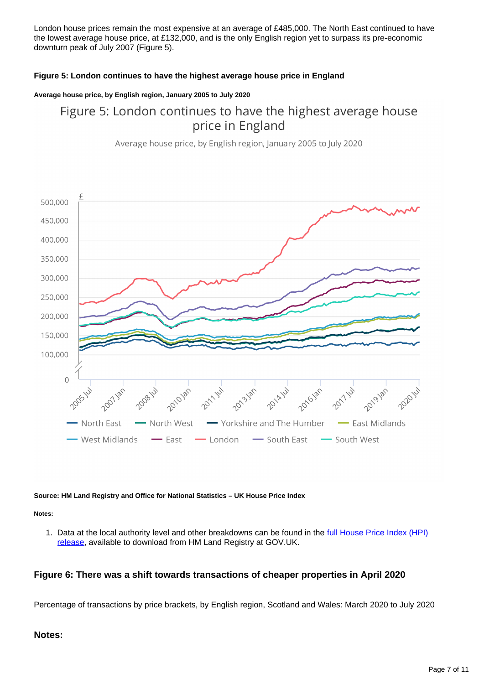London house prices remain the most expensive at an average of £485,000. The North East continued to have the lowest average house price, at £132,000, and is the only English region yet to surpass its pre-economic downturn peak of July 2007 (Figure 5).

#### **Figure 5: London continues to have the highest average house price in England**

#### **Average house price, by English region, January 2005 to July 2020**

## Figure 5: London continues to have the highest average house price in England

Average house price, by English region, January 2005 to July 2020



#### **Source: HM Land Registry and Office for National Statistics – UK House Price Index**

**Notes:**

1. Data at the local authority level and other breakdowns can be found in the full House Price Index (HPI) [release,](https://www.gov.uk/government/collections/uk-house-price-index-reports) available to download from HM Land Registry at GOV.UK.

#### **Figure 6: There was a shift towards transactions of cheaper properties in April 2020**

Percentage of transactions by price brackets, by English region, Scotland and Wales: March 2020 to July 2020

#### **Notes:**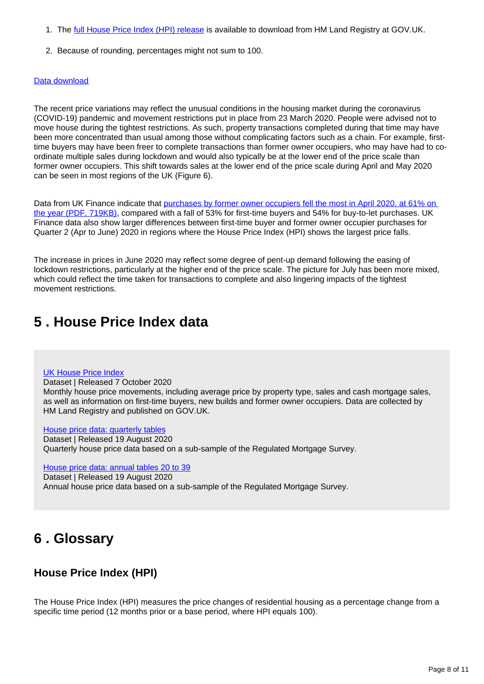- 1. The [full House Price Index \(HPI\) release](http://www.gov.uk/government/collections/uk-house-price-index-reports) is available to download from HM Land Registry at GOV.UK.
- 2. Because of rounding, percentages might not sum to 100.

#### [Data download](https://www.ons.gov.uk/visualisations/dvc1002/datadownload.xlsx)

The recent price variations may reflect the unusual conditions in the housing market during the coronavirus (COVID-19) pandemic and movement restrictions put in place from 23 March 2020. People were advised not to move house during the tightest restrictions. As such, property transactions completed during that time may have been more concentrated than usual among those without complicating factors such as a chain. For example, firsttime buyers may have been freer to complete transactions than former owner occupiers, who may have had to coordinate multiple sales during lockdown and would also typically be at the lower end of the price scale than former owner occupiers. This shift towards sales at the lower end of the price scale during April and May 2020 can be seen in most regions of the UK (Figure 6).

Data from UK Finance indicate that purchases by former owner occupiers fell the most in April 2020, at 61% on [the year \(PDF, 719KB\),](https://www.ukfinance.org.uk/sites/default/files/uploads/Data%20%28XLS%20and%20PDF%29/Household-Finance-Review-2020-Q2-FINAL-FINAL.pdf) compared with a fall of 53% for first-time buyers and 54% for buy-to-let purchases. UK Finance data also show larger differences between first-time buyer and former owner occupier purchases for Quarter 2 (Apr to June) 2020 in regions where the House Price Index (HPI) shows the largest price falls.

The increase in prices in June 2020 may reflect some degree of pent-up demand following the easing of lockdown restrictions, particularly at the higher end of the price scale. The picture for July has been more mixed, which could reflect the time taken for transactions to complete and also lingering impacts of the tightest movement restrictions.

## <span id="page-7-0"></span>**5 . House Price Index data**

#### [UK House Price Index](https://www.gov.uk/government/statistical-data-sets/uk-house-price-index-data-downloads-july-2020)

Dataset | Released 7 October 2020

Monthly house price movements, including average price by property type, sales and cash mortgage sales, as well as information on first-time buyers, new builds and former owner occupiers. Data are collected by HM Land Registry and published on GOV.UK.

[House price data: quarterly tables](https://www.ons.gov.uk/economy/inflationandpriceindices/datasets/housepriceindexmonthlyquarterlytables1to19)

Dataset | Released 19 August 2020 Quarterly house price data based on a sub-sample of the Regulated Mortgage Survey.

[House price data: annual tables 20 to 39](https://www.ons.gov.uk/economy/inflationandpriceindices/datasets/housepriceindexannualtables2039)

Dataset | Released 19 August 2020

Annual house price data based on a sub-sample of the Regulated Mortgage Survey.

## <span id="page-7-1"></span>**6 . Glossary**

### **House Price Index (HPI)**

The House Price Index (HPI) measures the price changes of residential housing as a percentage change from a specific time period (12 months prior or a base period, where HPI equals 100).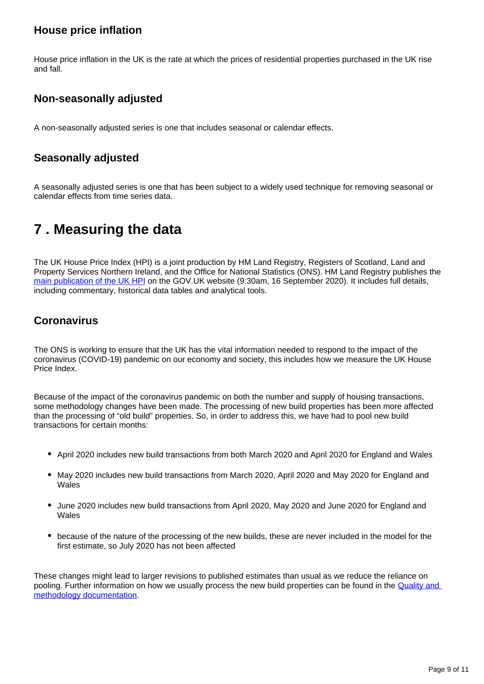### **House price inflation**

House price inflation in the UK is the rate at which the prices of residential properties purchased in the UK rise and fall.

### **Non-seasonally adjusted**

A non-seasonally adjusted series is one that includes seasonal or calendar effects.

### **Seasonally adjusted**

A seasonally adjusted series is one that has been subject to a widely used technique for removing seasonal or calendar effects from time series data.

## <span id="page-8-0"></span>**7 . Measuring the data**

The UK House Price Index (HPI) is a joint production by HM Land Registry, Registers of Scotland, Land and Property Services Northern Ireland, and the Office for National Statistics (ONS). HM Land Registry publishes the [main publication of the UK HPI](https://www.gov.uk/government/collections/uk-house-price-index-reports) on the GOV.UK website (9:30am, 16 September 2020). It includes full details, including commentary, historical data tables and analytical tools.

### **Coronavirus**

The ONS is working to ensure that the UK has the vital information needed to respond to the impact of the coronavirus (COVID-19) pandemic on our economy and society, this includes how we measure the UK House Price Index.

Because of the impact of the coronavirus pandemic on both the number and supply of housing transactions, some methodology changes have been made. The processing of new build properties has been more affected than the processing of "old build" properties. So, in order to address this, we have had to pool new build transactions for certain months:

- April 2020 includes new build transactions from both March 2020 and April 2020 for England and Wales
- May 2020 includes new build transactions from March 2020, April 2020 and May 2020 for England and Wales
- June 2020 includes new build transactions from April 2020, May 2020 and June 2020 for England and Wales
- because of the nature of the processing of the new builds, these are never included in the model for the first estimate, so July 2020 has not been affected

These changes might lead to larger revisions to published estimates than usual as we reduce the reliance on pooling. Further information on how we usually process the new build properties can be found in the [Quality and](https://www.gov.uk/government/publications/about-the-uk-house-price-index/quality-and-methodology)  [methodology documentation](https://www.gov.uk/government/publications/about-the-uk-house-price-index/quality-and-methodology).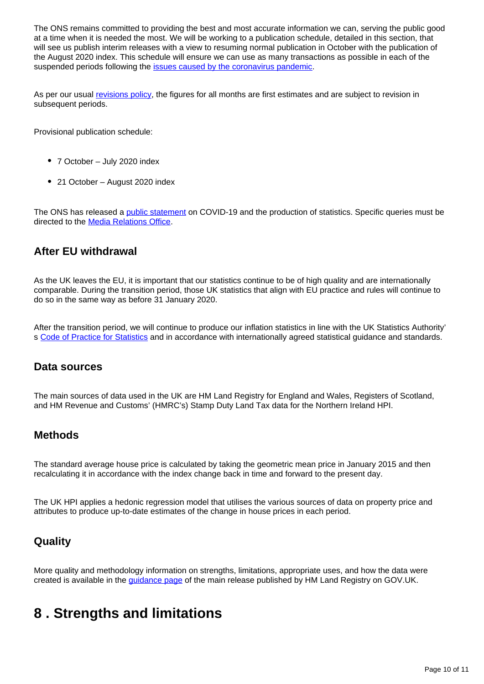The ONS remains committed to providing the best and most accurate information we can, serving the public good at a time when it is needed the most. We will be working to a publication schedule, detailed in this section, that will see us publish interim releases with a view to resuming normal publication in October with the publication of the August 2020 index. This schedule will ensure we can use as many transactions as possible in each of the suspended periods following the **[issues caused by the coronavirus pandemic](https://www.ons.gov.uk/releases/ukhousepriceindexmay2020)**.

As per our usual [revisions policy](https://www.gov.uk/government/publications/about-the-uk-house-price-index/about-the-uk-house-price-index#calculating-the-uk-hpi), the figures for all months are first estimates and are subject to revision in subsequent periods.

Provisional publication schedule:

- 7 October July 2020 index
- 21 October August 2020 index

The ONS has released a [public statement](https://www.ons.gov.uk/news/statementsandletters/covid19andtheproductionofstatistics) on COVID-19 and the production of statistics. Specific queries must be directed to the [Media Relations Office](http://mailto:media.relations@ons.gov.uk).

### **After EU withdrawal**

As the UK leaves the EU, it is important that our statistics continue to be of high quality and are internationally comparable. During the transition period, those UK statistics that align with EU practice and rules will continue to do so in the same way as before 31 January 2020.

After the transition period, we will continue to produce our inflation statistics in line with the UK Statistics Authority' s [Code of Practice for Statistics](https://code.statisticsauthority.gov.uk/) and in accordance with internationally agreed statistical guidance and standards.

### **Data sources**

The main sources of data used in the UK are HM Land Registry for England and Wales, Registers of Scotland, and HM Revenue and Customs' (HMRC's) Stamp Duty Land Tax data for the Northern Ireland HPI.

### **Methods**

The standard average house price is calculated by taking the geometric mean price in January 2015 and then recalculating it in accordance with the index change back in time and forward to the present day.

The UK HPI applies a hedonic regression model that utilises the various sources of data on property price and attributes to produce up-to-date estimates of the change in house prices in each period.

### **Quality**

More quality and methodology information on strengths, limitations, appropriate uses, and how the data were created is available in the *guidance page* of the main release published by HM Land Registry on GOV.UK.

## <span id="page-9-0"></span>**8 . Strengths and limitations**